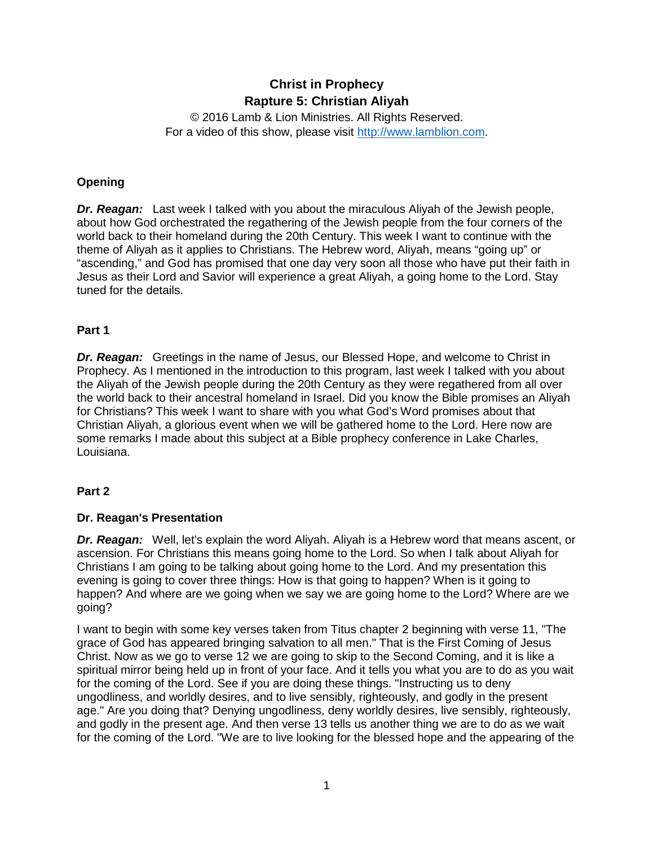# **Christ in Prophecy Rapture 5: Christian Aliyah**

© 2016 Lamb & Lion Ministries. All Rights Reserved. For a video of this show, please visit [http://www.lamblion.com.](http://www.lamblion.com/)

## **Opening**

*Dr. Reagan:* Last week I talked with you about the miraculous Aliyah of the Jewish people, about how God orchestrated the regathering of the Jewish people from the four corners of the world back to their homeland during the 20th Century. This week I want to continue with the theme of Aliyah as it applies to Christians. The Hebrew word, Aliyah, means "going up" or "ascending," and God has promised that one day very soon all those who have put their faith in Jesus as their Lord and Savior will experience a great Aliyah, a going home to the Lord. Stay tuned for the details.

#### **Part 1**

**Dr. Reagan:** Greetings in the name of Jesus, our Blessed Hope, and welcome to Christ in Prophecy. As I mentioned in the introduction to this program, last week I talked with you about the Aliyah of the Jewish people during the 20th Century as they were regathered from all over the world back to their ancestral homeland in Israel. Did you know the Bible promises an Aliyah for Christians? This week I want to share with you what God's Word promises about that Christian Aliyah, a glorious event when we will be gathered home to the Lord. Here now are some remarks I made about this subject at a Bible prophecy conference in Lake Charles, Louisiana.

### **Part 2**

### **Dr. Reagan's Presentation**

*Dr. Reagan:* Well, let's explain the word Aliyah. Aliyah is a Hebrew word that means ascent, or ascension. For Christians this means going home to the Lord. So when I talk about Aliyah for Christians I am going to be talking about going home to the Lord. And my presentation this evening is going to cover three things: How is that going to happen? When is it going to happen? And where are we going when we say we are going home to the Lord? Where are we going?

I want to begin with some key verses taken from Titus chapter 2 beginning with verse 11, "The grace of God has appeared bringing salvation to all men." That is the First Coming of Jesus Christ. Now as we go to verse 12 we are going to skip to the Second Coming, and it is like a spiritual mirror being held up in front of your face. And it tells you what you are to do as you wait for the coming of the Lord. See if you are doing these things. "Instructing us to deny ungodliness, and worldly desires, and to live sensibly, righteously, and godly in the present age." Are you doing that? Denying ungodliness, deny worldly desires, live sensibly, righteously, and godly in the present age. And then verse 13 tells us another thing we are to do as we wait for the coming of the Lord. "We are to live looking for the blessed hope and the appearing of the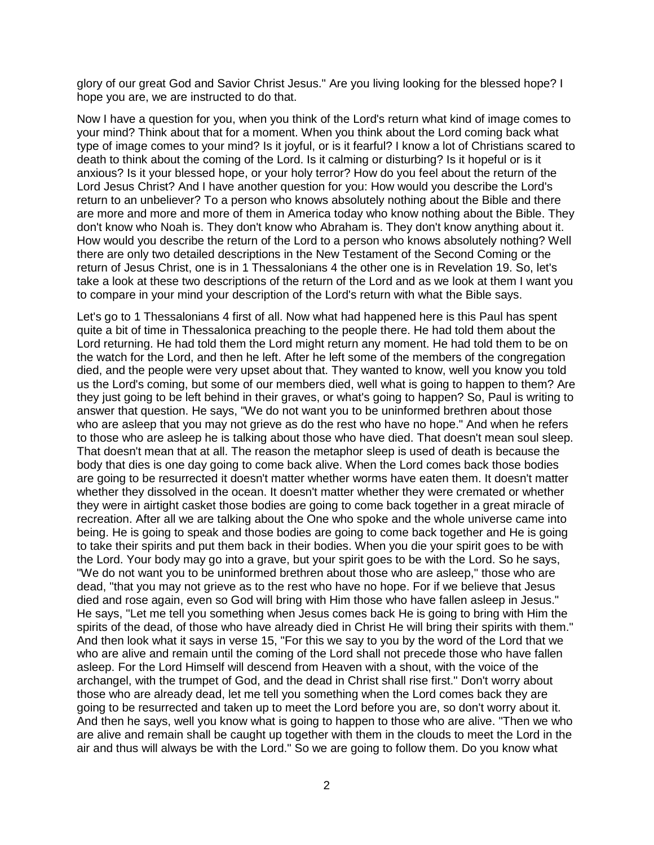glory of our great God and Savior Christ Jesus." Are you living looking for the blessed hope? I hope you are, we are instructed to do that.

Now I have a question for you, when you think of the Lord's return what kind of image comes to your mind? Think about that for a moment. When you think about the Lord coming back what type of image comes to your mind? Is it joyful, or is it fearful? I know a lot of Christians scared to death to think about the coming of the Lord. Is it calming or disturbing? Is it hopeful or is it anxious? Is it your blessed hope, or your holy terror? How do you feel about the return of the Lord Jesus Christ? And I have another question for you: How would you describe the Lord's return to an unbeliever? To a person who knows absolutely nothing about the Bible and there are more and more and more of them in America today who know nothing about the Bible. They don't know who Noah is. They don't know who Abraham is. They don't know anything about it. How would you describe the return of the Lord to a person who knows absolutely nothing? Well there are only two detailed descriptions in the New Testament of the Second Coming or the return of Jesus Christ, one is in 1 Thessalonians 4 the other one is in Revelation 19. So, let's take a look at these two descriptions of the return of the Lord and as we look at them I want you to compare in your mind your description of the Lord's return with what the Bible says.

Let's go to 1 Thessalonians 4 first of all. Now what had happened here is this Paul has spent quite a bit of time in Thessalonica preaching to the people there. He had told them about the Lord returning. He had told them the Lord might return any moment. He had told them to be on the watch for the Lord, and then he left. After he left some of the members of the congregation died, and the people were very upset about that. They wanted to know, well you know you told us the Lord's coming, but some of our members died, well what is going to happen to them? Are they just going to be left behind in their graves, or what's going to happen? So, Paul is writing to answer that question. He says, "We do not want you to be uninformed brethren about those who are asleep that you may not grieve as do the rest who have no hope." And when he refers to those who are asleep he is talking about those who have died. That doesn't mean soul sleep. That doesn't mean that at all. The reason the metaphor sleep is used of death is because the body that dies is one day going to come back alive. When the Lord comes back those bodies are going to be resurrected it doesn't matter whether worms have eaten them. It doesn't matter whether they dissolved in the ocean. It doesn't matter whether they were cremated or whether they were in airtight casket those bodies are going to come back together in a great miracle of recreation. After all we are talking about the One who spoke and the whole universe came into being. He is going to speak and those bodies are going to come back together and He is going to take their spirits and put them back in their bodies. When you die your spirit goes to be with the Lord. Your body may go into a grave, but your spirit goes to be with the Lord. So he says, "We do not want you to be uninformed brethren about those who are asleep," those who are dead, "that you may not grieve as to the rest who have no hope. For if we believe that Jesus died and rose again, even so God will bring with Him those who have fallen asleep in Jesus." He says, "Let me tell you something when Jesus comes back He is going to bring with Him the spirits of the dead, of those who have already died in Christ He will bring their spirits with them." And then look what it says in verse 15, "For this we say to you by the word of the Lord that we who are alive and remain until the coming of the Lord shall not precede those who have fallen asleep. For the Lord Himself will descend from Heaven with a shout, with the voice of the archangel, with the trumpet of God, and the dead in Christ shall rise first." Don't worry about those who are already dead, let me tell you something when the Lord comes back they are going to be resurrected and taken up to meet the Lord before you are, so don't worry about it. And then he says, well you know what is going to happen to those who are alive. "Then we who are alive and remain shall be caught up together with them in the clouds to meet the Lord in the air and thus will always be with the Lord." So we are going to follow them. Do you know what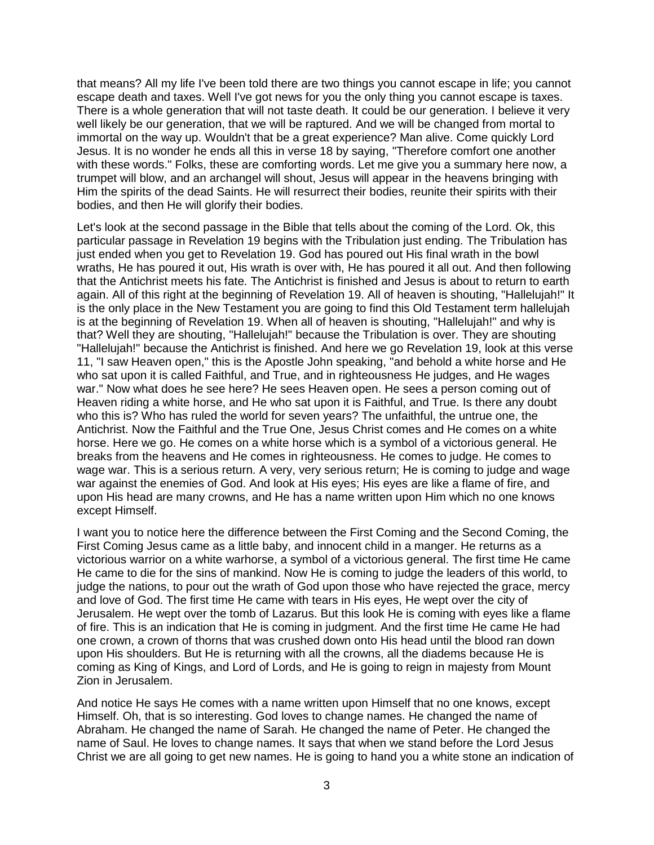that means? All my life I've been told there are two things you cannot escape in life; you cannot escape death and taxes. Well I've got news for you the only thing you cannot escape is taxes. There is a whole generation that will not taste death. It could be our generation. I believe it very well likely be our generation, that we will be raptured. And we will be changed from mortal to immortal on the way up. Wouldn't that be a great experience? Man alive. Come quickly Lord Jesus. It is no wonder he ends all this in verse 18 by saying, "Therefore comfort one another with these words." Folks, these are comforting words. Let me give you a summary here now, a trumpet will blow, and an archangel will shout, Jesus will appear in the heavens bringing with Him the spirits of the dead Saints. He will resurrect their bodies, reunite their spirits with their bodies, and then He will glorify their bodies.

Let's look at the second passage in the Bible that tells about the coming of the Lord. Ok, this particular passage in Revelation 19 begins with the Tribulation just ending. The Tribulation has just ended when you get to Revelation 19. God has poured out His final wrath in the bowl wraths, He has poured it out, His wrath is over with, He has poured it all out. And then following that the Antichrist meets his fate. The Antichrist is finished and Jesus is about to return to earth again. All of this right at the beginning of Revelation 19. All of heaven is shouting, "Hallelujah!" It is the only place in the New Testament you are going to find this Old Testament term hallelujah is at the beginning of Revelation 19. When all of heaven is shouting, "Hallelujah!" and why is that? Well they are shouting, "Hallelujah!" because the Tribulation is over. They are shouting "Hallelujah!" because the Antichrist is finished. And here we go Revelation 19, look at this verse 11, "I saw Heaven open," this is the Apostle John speaking, "and behold a white horse and He who sat upon it is called Faithful, and True, and in righteousness He judges, and He wages war." Now what does he see here? He sees Heaven open. He sees a person coming out of Heaven riding a white horse, and He who sat upon it is Faithful, and True. Is there any doubt who this is? Who has ruled the world for seven years? The unfaithful, the untrue one, the Antichrist. Now the Faithful and the True One, Jesus Christ comes and He comes on a white horse. Here we go. He comes on a white horse which is a symbol of a victorious general. He breaks from the heavens and He comes in righteousness. He comes to judge. He comes to wage war. This is a serious return. A very, very serious return; He is coming to judge and wage war against the enemies of God. And look at His eyes; His eyes are like a flame of fire, and upon His head are many crowns, and He has a name written upon Him which no one knows except Himself.

I want you to notice here the difference between the First Coming and the Second Coming, the First Coming Jesus came as a little baby, and innocent child in a manger. He returns as a victorious warrior on a white warhorse, a symbol of a victorious general. The first time He came He came to die for the sins of mankind. Now He is coming to judge the leaders of this world, to judge the nations, to pour out the wrath of God upon those who have rejected the grace, mercy and love of God. The first time He came with tears in His eyes, He wept over the city of Jerusalem. He wept over the tomb of Lazarus. But this look He is coming with eyes like a flame of fire. This is an indication that He is coming in judgment. And the first time He came He had one crown, a crown of thorns that was crushed down onto His head until the blood ran down upon His shoulders. But He is returning with all the crowns, all the diadems because He is coming as King of Kings, and Lord of Lords, and He is going to reign in majesty from Mount Zion in Jerusalem.

And notice He says He comes with a name written upon Himself that no one knows, except Himself. Oh, that is so interesting. God loves to change names. He changed the name of Abraham. He changed the name of Sarah. He changed the name of Peter. He changed the name of Saul. He loves to change names. It says that when we stand before the Lord Jesus Christ we are all going to get new names. He is going to hand you a white stone an indication of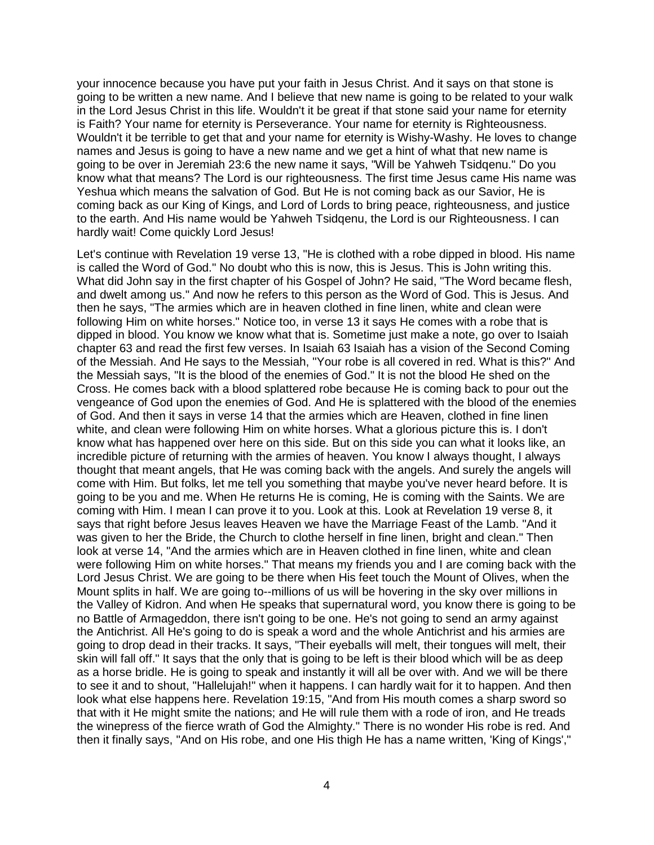your innocence because you have put your faith in Jesus Christ. And it says on that stone is going to be written a new name. And I believe that new name is going to be related to your walk in the Lord Jesus Christ in this life. Wouldn't it be great if that stone said your name for eternity is Faith? Your name for eternity is Perseverance. Your name for eternity is Righteousness. Wouldn't it be terrible to get that and your name for eternity is Wishy-Washy. He loves to change names and Jesus is going to have a new name and we get a hint of what that new name is going to be over in Jeremiah 23:6 the new name it says, "Will be Yahweh Tsidqenu." Do you know what that means? The Lord is our righteousness. The first time Jesus came His name was Yeshua which means the salvation of God. But He is not coming back as our Savior, He is coming back as our King of Kings, and Lord of Lords to bring peace, righteousness, and justice to the earth. And His name would be Yahweh Tsidqenu, the Lord is our Righteousness. I can hardly wait! Come quickly Lord Jesus!

Let's continue with Revelation 19 verse 13, "He is clothed with a robe dipped in blood. His name is called the Word of God." No doubt who this is now, this is Jesus. This is John writing this. What did John say in the first chapter of his Gospel of John? He said, "The Word became flesh, and dwelt among us." And now he refers to this person as the Word of God. This is Jesus. And then he says, "The armies which are in heaven clothed in fine linen, white and clean were following Him on white horses." Notice too, in verse 13 it says He comes with a robe that is dipped in blood. You know we know what that is. Sometime just make a note, go over to Isaiah chapter 63 and read the first few verses. In Isaiah 63 Isaiah has a vision of the Second Coming of the Messiah. And He says to the Messiah, "Your robe is all covered in red. What is this?" And the Messiah says, "It is the blood of the enemies of God." It is not the blood He shed on the Cross. He comes back with a blood splattered robe because He is coming back to pour out the vengeance of God upon the enemies of God. And He is splattered with the blood of the enemies of God. And then it says in verse 14 that the armies which are Heaven, clothed in fine linen white, and clean were following Him on white horses. What a glorious picture this is. I don't know what has happened over here on this side. But on this side you can what it looks like, an incredible picture of returning with the armies of heaven. You know I always thought, I always thought that meant angels, that He was coming back with the angels. And surely the angels will come with Him. But folks, let me tell you something that maybe you've never heard before. It is going to be you and me. When He returns He is coming, He is coming with the Saints. We are coming with Him. I mean I can prove it to you. Look at this. Look at Revelation 19 verse 8, it says that right before Jesus leaves Heaven we have the Marriage Feast of the Lamb. "And it was given to her the Bride, the Church to clothe herself in fine linen, bright and clean." Then look at verse 14, "And the armies which are in Heaven clothed in fine linen, white and clean were following Him on white horses." That means my friends you and I are coming back with the Lord Jesus Christ. We are going to be there when His feet touch the Mount of Olives, when the Mount splits in half. We are going to--millions of us will be hovering in the sky over millions in the Valley of Kidron. And when He speaks that supernatural word, you know there is going to be no Battle of Armageddon, there isn't going to be one. He's not going to send an army against the Antichrist. All He's going to do is speak a word and the whole Antichrist and his armies are going to drop dead in their tracks. It says, "Their eyeballs will melt, their tongues will melt, their skin will fall off." It says that the only that is going to be left is their blood which will be as deep as a horse bridle. He is going to speak and instantly it will all be over with. And we will be there to see it and to shout, "Hallelujah!" when it happens. I can hardly wait for it to happen. And then look what else happens here. Revelation 19:15, "And from His mouth comes a sharp sword so that with it He might smite the nations; and He will rule them with a rode of iron, and He treads the winepress of the fierce wrath of God the Almighty." There is no wonder His robe is red. And then it finally says, "And on His robe, and one His thigh He has a name written, 'King of Kings',"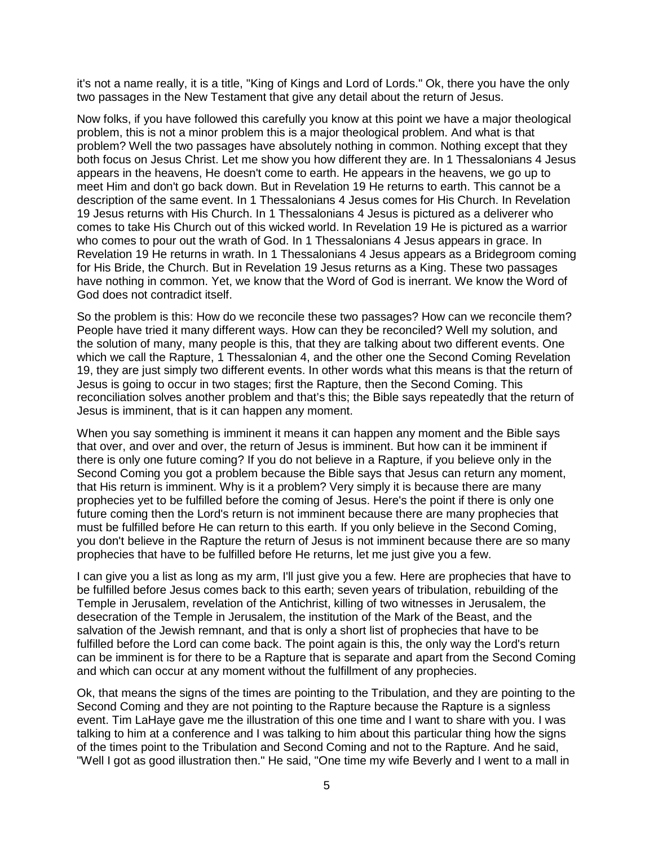it's not a name really, it is a title, "King of Kings and Lord of Lords." Ok, there you have the only two passages in the New Testament that give any detail about the return of Jesus.

Now folks, if you have followed this carefully you know at this point we have a major theological problem, this is not a minor problem this is a major theological problem. And what is that problem? Well the two passages have absolutely nothing in common. Nothing except that they both focus on Jesus Christ. Let me show you how different they are. In 1 Thessalonians 4 Jesus appears in the heavens, He doesn't come to earth. He appears in the heavens, we go up to meet Him and don't go back down. But in Revelation 19 He returns to earth. This cannot be a description of the same event. In 1 Thessalonians 4 Jesus comes for His Church. In Revelation 19 Jesus returns with His Church. In 1 Thessalonians 4 Jesus is pictured as a deliverer who comes to take His Church out of this wicked world. In Revelation 19 He is pictured as a warrior who comes to pour out the wrath of God. In 1 Thessalonians 4 Jesus appears in grace. In Revelation 19 He returns in wrath. In 1 Thessalonians 4 Jesus appears as a Bridegroom coming for His Bride, the Church. But in Revelation 19 Jesus returns as a King. These two passages have nothing in common. Yet, we know that the Word of God is inerrant. We know the Word of God does not contradict itself.

So the problem is this: How do we reconcile these two passages? How can we reconcile them? People have tried it many different ways. How can they be reconciled? Well my solution, and the solution of many, many people is this, that they are talking about two different events. One which we call the Rapture, 1 Thessalonian 4, and the other one the Second Coming Revelation 19, they are just simply two different events. In other words what this means is that the return of Jesus is going to occur in two stages; first the Rapture, then the Second Coming. This reconciliation solves another problem and that's this; the Bible says repeatedly that the return of Jesus is imminent, that is it can happen any moment.

When you say something is imminent it means it can happen any moment and the Bible says that over, and over and over, the return of Jesus is imminent. But how can it be imminent if there is only one future coming? If you do not believe in a Rapture, if you believe only in the Second Coming you got a problem because the Bible says that Jesus can return any moment, that His return is imminent. Why is it a problem? Very simply it is because there are many prophecies yet to be fulfilled before the coming of Jesus. Here's the point if there is only one future coming then the Lord's return is not imminent because there are many prophecies that must be fulfilled before He can return to this earth. If you only believe in the Second Coming, you don't believe in the Rapture the return of Jesus is not imminent because there are so many prophecies that have to be fulfilled before He returns, let me just give you a few.

I can give you a list as long as my arm, I'll just give you a few. Here are prophecies that have to be fulfilled before Jesus comes back to this earth; seven years of tribulation, rebuilding of the Temple in Jerusalem, revelation of the Antichrist, killing of two witnesses in Jerusalem, the desecration of the Temple in Jerusalem, the institution of the Mark of the Beast, and the salvation of the Jewish remnant, and that is only a short list of prophecies that have to be fulfilled before the Lord can come back. The point again is this, the only way the Lord's return can be imminent is for there to be a Rapture that is separate and apart from the Second Coming and which can occur at any moment without the fulfillment of any prophecies.

Ok, that means the signs of the times are pointing to the Tribulation, and they are pointing to the Second Coming and they are not pointing to the Rapture because the Rapture is a signless event. Tim LaHaye gave me the illustration of this one time and I want to share with you. I was talking to him at a conference and I was talking to him about this particular thing how the signs of the times point to the Tribulation and Second Coming and not to the Rapture. And he said, "Well I got as good illustration then." He said, "One time my wife Beverly and I went to a mall in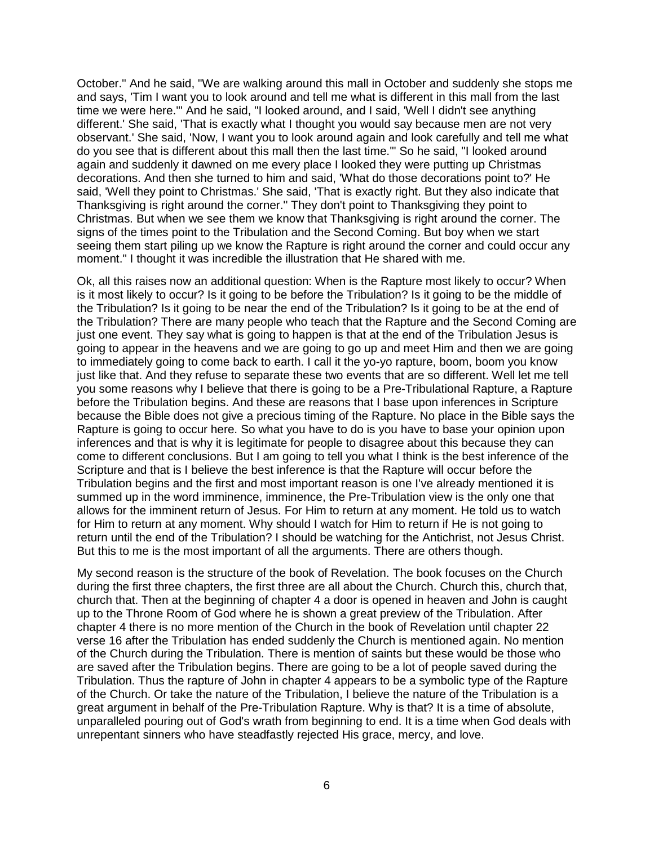October." And he said, "We are walking around this mall in October and suddenly she stops me and says, 'Tim I want you to look around and tell me what is different in this mall from the last time we were here.'" And he said, "I looked around, and I said, 'Well I didn't see anything different.' She said, 'That is exactly what I thought you would say because men are not very observant.' She said, 'Now, I want you to look around again and look carefully and tell me what do you see that is different about this mall then the last time.'" So he said, "I looked around again and suddenly it dawned on me every place I looked they were putting up Christmas decorations. And then she turned to him and said, 'What do those decorations point to?' He said, 'Well they point to Christmas.' She said, 'That is exactly right. But they also indicate that Thanksgiving is right around the corner.'' They don't point to Thanksgiving they point to Christmas. But when we see them we know that Thanksgiving is right around the corner. The signs of the times point to the Tribulation and the Second Coming. But boy when we start seeing them start piling up we know the Rapture is right around the corner and could occur any moment." I thought it was incredible the illustration that He shared with me.

Ok, all this raises now an additional question: When is the Rapture most likely to occur? When is it most likely to occur? Is it going to be before the Tribulation? Is it going to be the middle of the Tribulation? Is it going to be near the end of the Tribulation? Is it going to be at the end of the Tribulation? There are many people who teach that the Rapture and the Second Coming are just one event. They say what is going to happen is that at the end of the Tribulation Jesus is going to appear in the heavens and we are going to go up and meet Him and then we are going to immediately going to come back to earth. I call it the yo-yo rapture, boom, boom you know just like that. And they refuse to separate these two events that are so different. Well let me tell you some reasons why I believe that there is going to be a Pre-Tribulational Rapture, a Rapture before the Tribulation begins. And these are reasons that I base upon inferences in Scripture because the Bible does not give a precious timing of the Rapture. No place in the Bible says the Rapture is going to occur here. So what you have to do is you have to base your opinion upon inferences and that is why it is legitimate for people to disagree about this because they can come to different conclusions. But I am going to tell you what I think is the best inference of the Scripture and that is I believe the best inference is that the Rapture will occur before the Tribulation begins and the first and most important reason is one I've already mentioned it is summed up in the word imminence, imminence, the Pre-Tribulation view is the only one that allows for the imminent return of Jesus. For Him to return at any moment. He told us to watch for Him to return at any moment. Why should I watch for Him to return if He is not going to return until the end of the Tribulation? I should be watching for the Antichrist, not Jesus Christ. But this to me is the most important of all the arguments. There are others though.

My second reason is the structure of the book of Revelation. The book focuses on the Church during the first three chapters, the first three are all about the Church. Church this, church that, church that. Then at the beginning of chapter 4 a door is opened in heaven and John is caught up to the Throne Room of God where he is shown a great preview of the Tribulation. After chapter 4 there is no more mention of the Church in the book of Revelation until chapter 22 verse 16 after the Tribulation has ended suddenly the Church is mentioned again. No mention of the Church during the Tribulation. There is mention of saints but these would be those who are saved after the Tribulation begins. There are going to be a lot of people saved during the Tribulation. Thus the rapture of John in chapter 4 appears to be a symbolic type of the Rapture of the Church. Or take the nature of the Tribulation, I believe the nature of the Tribulation is a great argument in behalf of the Pre-Tribulation Rapture. Why is that? It is a time of absolute, unparalleled pouring out of God's wrath from beginning to end. It is a time when God deals with unrepentant sinners who have steadfastly rejected His grace, mercy, and love.